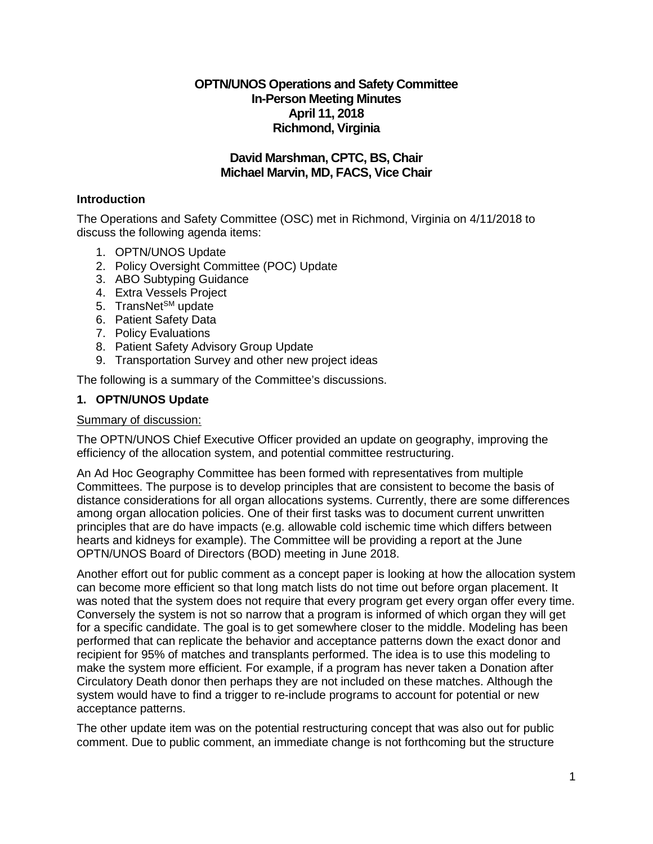# **OPTN/UNOS Operations and Safety Committee In-Person Meeting Minutes April 11, 2018 Richmond, Virginia**

# **David Marshman, CPTC, BS, Chair Michael Marvin, MD, FACS, Vice Chair**

# **Introduction**

The Operations and Safety Committee (OSC) met in Richmond, Virginia on 4/11/2018 to discuss the following agenda items:

- 1. OPTN/UNOS Update
- 2. Policy Oversight Committee (POC) Update
- 3. ABO Subtyping Guidance
- 4. Extra Vessels Project
- 5. TransNet<sup>SM</sup> update
- 6. Patient Safety Data
- 7. Policy Evaluations
- 8. Patient Safety Advisory Group Update
- 9. Transportation Survey and other new project ideas

The following is a summary of the Committee's discussions.

# **1. OPTN/UNOS Update**

### Summary of discussion:

The OPTN/UNOS Chief Executive Officer provided an update on geography, improving the efficiency of the allocation system, and potential committee restructuring.

An Ad Hoc Geography Committee has been formed with representatives from multiple Committees. The purpose is to develop principles that are consistent to become the basis of distance considerations for all organ allocations systems. Currently, there are some differences among organ allocation policies. One of their first tasks was to document current unwritten principles that are do have impacts (e.g. allowable cold ischemic time which differs between hearts and kidneys for example). The Committee will be providing a report at the June OPTN/UNOS Board of Directors (BOD) meeting in June 2018.

Another effort out for public comment as a concept paper is looking at how the allocation system can become more efficient so that long match lists do not time out before organ placement. It was noted that the system does not require that every program get every organ offer every time. Conversely the system is not so narrow that a program is informed of which organ they will get for a specific candidate. The goal is to get somewhere closer to the middle. Modeling has been performed that can replicate the behavior and acceptance patterns down the exact donor and recipient for 95% of matches and transplants performed. The idea is to use this modeling to make the system more efficient. For example, if a program has never taken a Donation after Circulatory Death donor then perhaps they are not included on these matches. Although the system would have to find a trigger to re-include programs to account for potential or new acceptance patterns.

The other update item was on the potential restructuring concept that was also out for public comment. Due to public comment, an immediate change is not forthcoming but the structure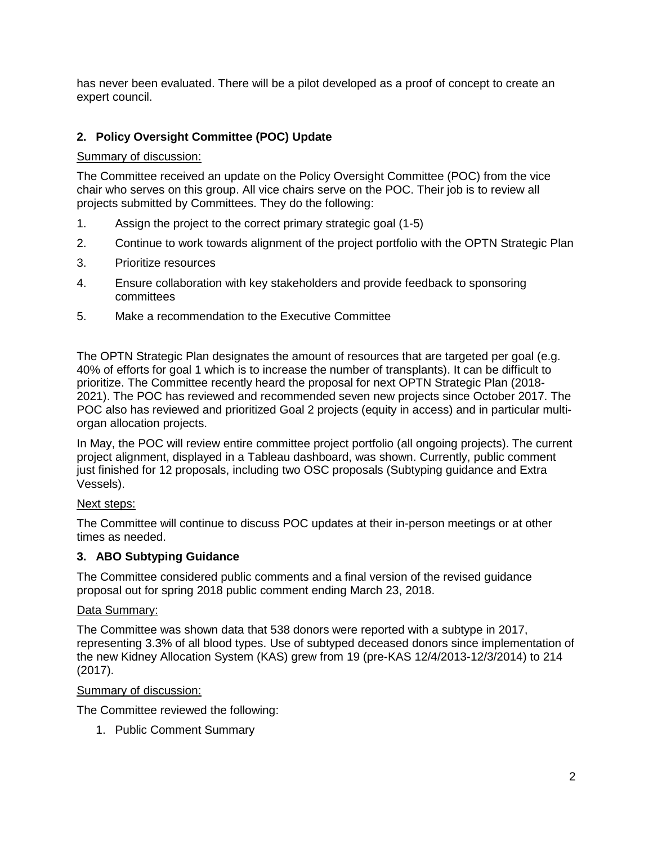has never been evaluated. There will be a pilot developed as a proof of concept to create an expert council.

# **2. Policy Oversight Committee (POC) Update**

# Summary of discussion:

The Committee received an update on the Policy Oversight Committee (POC) from the vice chair who serves on this group. All vice chairs serve on the POC. Their job is to review all projects submitted by Committees. They do the following:

- 1. Assign the project to the correct primary strategic goal (1-5)
- 2. Continue to work towards alignment of the project portfolio with the OPTN Strategic Plan
- 3. Prioritize resources
- 4. Ensure collaboration with key stakeholders and provide feedback to sponsoring committees
- 5. Make a recommendation to the Executive Committee

The OPTN Strategic Plan designates the amount of resources that are targeted per goal (e.g. 40% of efforts for goal 1 which is to increase the number of transplants). It can be difficult to prioritize. The Committee recently heard the proposal for next OPTN Strategic Plan (2018- 2021). The POC has reviewed and recommended seven new projects since October 2017. The POC also has reviewed and prioritized Goal 2 projects (equity in access) and in particular multiorgan allocation projects.

In May, the POC will review entire committee project portfolio (all ongoing projects). The current project alignment, displayed in a Tableau dashboard, was shown. Currently, public comment just finished for 12 proposals, including two OSC proposals (Subtyping guidance and Extra Vessels).

# Next steps:

The Committee will continue to discuss POC updates at their in-person meetings or at other times as needed.

# **3. ABO Subtyping Guidance**

The Committee considered public comments and a final version of the revised guidance proposal out for spring 2018 public comment ending March 23, 2018.

# Data Summary:

The Committee was shown data that 538 donors were reported with a subtype in 2017, representing 3.3% of all blood types. Use of subtyped deceased donors since implementation of the new Kidney Allocation System (KAS) grew from 19 (pre-KAS 12/4/2013-12/3/2014) to 214 (2017).

# Summary of discussion:

The Committee reviewed the following:

1. Public Comment Summary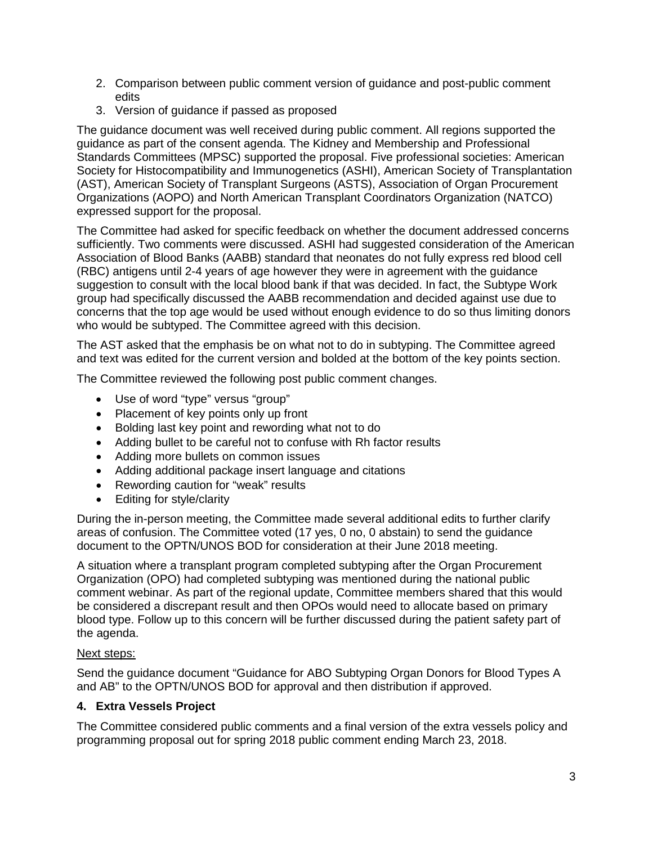- 2. Comparison between public comment version of guidance and post-public comment edits
- 3. Version of guidance if passed as proposed

The guidance document was well received during public comment. All regions supported the guidance as part of the consent agenda. The Kidney and Membership and Professional Standards Committees (MPSC) supported the proposal. Five professional societies: American Society for Histocompatibility and Immunogenetics (ASHI), American Society of Transplantation (AST), American Society of Transplant Surgeons (ASTS), Association of Organ Procurement Organizations (AOPO) and North American Transplant Coordinators Organization (NATCO) expressed support for the proposal.

The Committee had asked for specific feedback on whether the document addressed concerns sufficiently. Two comments were discussed. ASHI had suggested consideration of the American Association of Blood Banks (AABB) standard that neonates do not fully express red blood cell (RBC) antigens until 2-4 years of age however they were in agreement with the guidance suggestion to consult with the local blood bank if that was decided. In fact, the Subtype Work group had specifically discussed the AABB recommendation and decided against use due to concerns that the top age would be used without enough evidence to do so thus limiting donors who would be subtyped. The Committee agreed with this decision.

The AST asked that the emphasis be on what not to do in subtyping. The Committee agreed and text was edited for the current version and bolded at the bottom of the key points section.

The Committee reviewed the following post public comment changes.

- Use of word "type" versus "group"
- Placement of key points only up front
- Bolding last key point and rewording what not to do
- Adding bullet to be careful not to confuse with Rh factor results
- Adding more bullets on common issues
- Adding additional package insert language and citations
- Rewording caution for "weak" results
- Editing for style/clarity

During the in-person meeting, the Committee made several additional edits to further clarify areas of confusion. The Committee voted (17 yes, 0 no, 0 abstain) to send the guidance document to the OPTN/UNOS BOD for consideration at their June 2018 meeting.

A situation where a transplant program completed subtyping after the Organ Procurement Organization (OPO) had completed subtyping was mentioned during the national public comment webinar. As part of the regional update, Committee members shared that this would be considered a discrepant result and then OPOs would need to allocate based on primary blood type. Follow up to this concern will be further discussed during the patient safety part of the agenda.

# Next steps:

Send the guidance document "Guidance for ABO Subtyping Organ Donors for Blood Types A and AB" to the OPTN/UNOS BOD for approval and then distribution if approved.

# **4. Extra Vessels Project**

The Committee considered public comments and a final version of the extra vessels policy and programming proposal out for spring 2018 public comment ending March 23, 2018.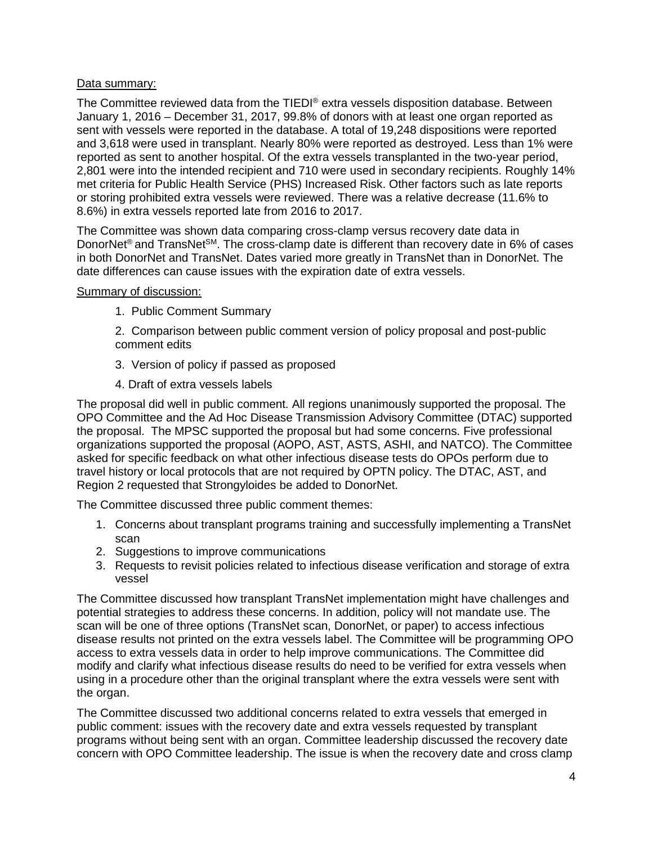# Data summary:

The Committee reviewed data from the TIEDI® extra vessels disposition database. Between January 1, 2016 – December 31, 2017, 99.8% of donors with at least one organ reported as sent with vessels were reported in the database. A total of 19,248 dispositions were reported and 3,618 were used in transplant. Nearly 80% were reported as destroyed. Less than 1% were reported as sent to another hospital. Of the extra vessels transplanted in the two-year period, 2,801 were into the intended recipient and 710 were used in secondary recipients. Roughly 14% met criteria for Public Health Service (PHS) Increased Risk. Other factors such as late reports or storing prohibited extra vessels were reviewed. There was a relative decrease (11.6% to 8.6%) in extra vessels reported late from 2016 to 2017.

The Committee was shown data comparing cross-clamp versus recovery date data in DonorNet<sup>®</sup> and TransNet<sup>SM</sup>. The cross-clamp date is different than recovery date in 6% of cases in both DonorNet and TransNet. Dates varied more greatly in TransNet than in DonorNet. The date differences can cause issues with the expiration date of extra vessels.

#### Summary of discussion:

1. Public Comment Summary

2. Comparison between public comment version of policy proposal and post-public comment edits

- 3. Version of policy if passed as proposed
- 4. Draft of extra vessels labels

The proposal did well in public comment. All regions unanimously supported the proposal. The OPO Committee and the Ad Hoc Disease Transmission Advisory Committee (DTAC) supported the proposal. The MPSC supported the proposal but had some concerns. Five professional organizations supported the proposal (AOPO, AST, ASTS, ASHI, and NATCO). The Committee asked for specific feedback on what other infectious disease tests do OPOs perform due to travel history or local protocols that are not required by OPTN policy. The DTAC, AST, and Region 2 requested that Strongyloides be added to DonorNet.

The Committee discussed three public comment themes:

- 1. Concerns about transplant programs training and successfully implementing a TransNet scan
- 2. Suggestions to improve communications
- 3. Requests to revisit policies related to infectious disease verification and storage of extra vessel

The Committee discussed how transplant TransNet implementation might have challenges and potential strategies to address these concerns. In addition, policy will not mandate use. The scan will be one of three options (TransNet scan, DonorNet, or paper) to access infectious disease results not printed on the extra vessels label. The Committee will be programming OPO access to extra vessels data in order to help improve communications. The Committee did modify and clarify what infectious disease results do need to be verified for extra vessels when using in a procedure other than the original transplant where the extra vessels were sent with the organ.

The Committee discussed two additional concerns related to extra vessels that emerged in public comment: issues with the recovery date and extra vessels requested by transplant programs without being sent with an organ. Committee leadership discussed the recovery date concern with OPO Committee leadership. The issue is when the recovery date and cross clamp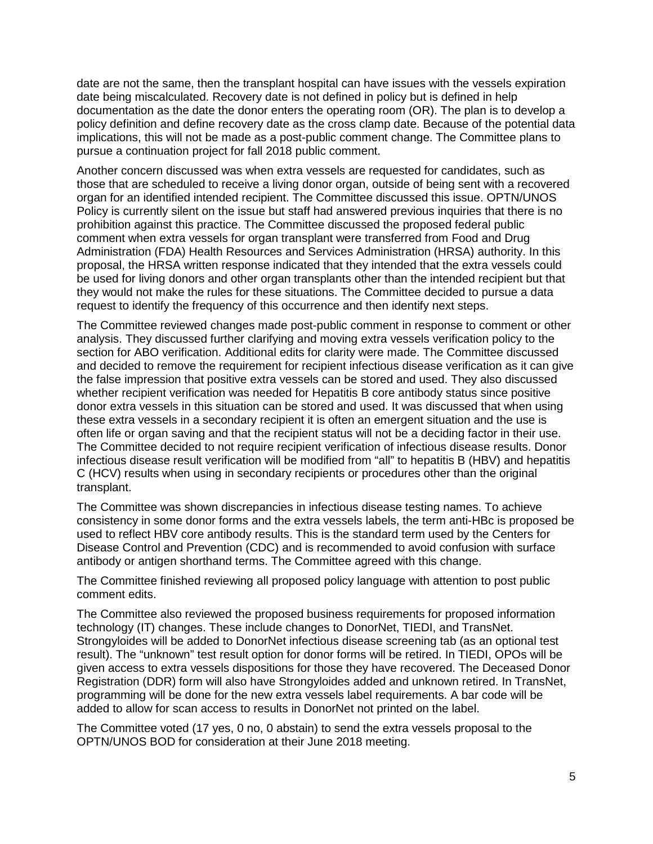date are not the same, then the transplant hospital can have issues with the vessels expiration date being miscalculated. Recovery date is not defined in policy but is defined in help documentation as the date the donor enters the operating room (OR). The plan is to develop a policy definition and define recovery date as the cross clamp date. Because of the potential data implications, this will not be made as a post-public comment change. The Committee plans to pursue a continuation project for fall 2018 public comment.

Another concern discussed was when extra vessels are requested for candidates, such as those that are scheduled to receive a living donor organ, outside of being sent with a recovered organ for an identified intended recipient. The Committee discussed this issue. OPTN/UNOS Policy is currently silent on the issue but staff had answered previous inquiries that there is no prohibition against this practice. The Committee discussed the proposed federal public comment when extra vessels for organ transplant were transferred from Food and Drug Administration (FDA) Health Resources and Services Administration (HRSA) authority. In this proposal, the HRSA written response indicated that they intended that the extra vessels could be used for living donors and other organ transplants other than the intended recipient but that they would not make the rules for these situations. The Committee decided to pursue a data request to identify the frequency of this occurrence and then identify next steps.

The Committee reviewed changes made post-public comment in response to comment or other analysis. They discussed further clarifying and moving extra vessels verification policy to the section for ABO verification. Additional edits for clarity were made. The Committee discussed and decided to remove the requirement for recipient infectious disease verification as it can give the false impression that positive extra vessels can be stored and used. They also discussed whether recipient verification was needed for Hepatitis B core antibody status since positive donor extra vessels in this situation can be stored and used. It was discussed that when using these extra vessels in a secondary recipient it is often an emergent situation and the use is often life or organ saving and that the recipient status will not be a deciding factor in their use. The Committee decided to not require recipient verification of infectious disease results. Donor infectious disease result verification will be modified from "all" to hepatitis B (HBV) and hepatitis C (HCV) results when using in secondary recipients or procedures other than the original transplant.

The Committee was shown discrepancies in infectious disease testing names. To achieve consistency in some donor forms and the extra vessels labels, the term anti-HBc is proposed be used to reflect HBV core antibody results. This is the standard term used by the Centers for Disease Control and Prevention (CDC) and is recommended to avoid confusion with surface antibody or antigen shorthand terms. The Committee agreed with this change.

The Committee finished reviewing all proposed policy language with attention to post public comment edits.

The Committee also reviewed the proposed business requirements for proposed information technology (IT) changes. These include changes to DonorNet, TIEDI, and TransNet. Strongyloides will be added to DonorNet infectious disease screening tab (as an optional test result). The "unknown" test result option for donor forms will be retired. In TIEDI, OPOs will be given access to extra vessels dispositions for those they have recovered. The Deceased Donor Registration (DDR) form will also have Strongyloides added and unknown retired. In TransNet, programming will be done for the new extra vessels label requirements. A bar code will be added to allow for scan access to results in DonorNet not printed on the label.

The Committee voted (17 yes, 0 no, 0 abstain) to send the extra vessels proposal to the OPTN/UNOS BOD for consideration at their June 2018 meeting.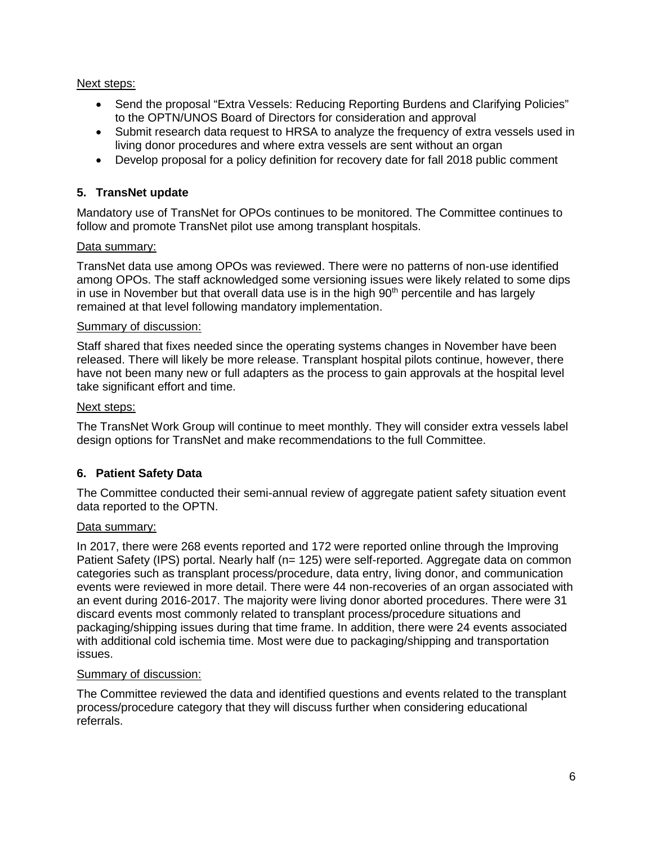# Next steps:

- Send the proposal "Extra Vessels: Reducing Reporting Burdens and Clarifying Policies" to the OPTN/UNOS Board of Directors for consideration and approval
- Submit research data request to HRSA to analyze the frequency of extra vessels used in living donor procedures and where extra vessels are sent without an organ
- Develop proposal for a policy definition for recovery date for fall 2018 public comment

# **5. TransNet update**

Mandatory use of TransNet for OPOs continues to be monitored. The Committee continues to follow and promote TransNet pilot use among transplant hospitals.

# Data summary:

TransNet data use among OPOs was reviewed. There were no patterns of non-use identified among OPOs. The staff acknowledged some versioning issues were likely related to some dips in use in November but that overall data use is in the high  $90<sup>th</sup>$  percentile and has largely remained at that level following mandatory implementation.

#### Summary of discussion:

Staff shared that fixes needed since the operating systems changes in November have been released. There will likely be more release. Transplant hospital pilots continue, however, there have not been many new or full adapters as the process to gain approvals at the hospital level take significant effort and time.

#### Next steps:

The TransNet Work Group will continue to meet monthly. They will consider extra vessels label design options for TransNet and make recommendations to the full Committee.

# **6. Patient Safety Data**

The Committee conducted their semi-annual review of aggregate patient safety situation event data reported to the OPTN.

# Data summary:

In 2017, there were 268 events reported and 172 were reported online through the Improving Patient Safety (IPS) portal. Nearly half (n= 125) were self-reported. Aggregate data on common categories such as transplant process/procedure, data entry, living donor, and communication events were reviewed in more detail. There were 44 non-recoveries of an organ associated with an event during 2016-2017. The majority were living donor aborted procedures. There were 31 discard events most commonly related to transplant process/procedure situations and packaging/shipping issues during that time frame. In addition, there were 24 events associated with additional cold ischemia time. Most were due to packaging/shipping and transportation issues.

#### Summary of discussion:

The Committee reviewed the data and identified questions and events related to the transplant process/procedure category that they will discuss further when considering educational referrals.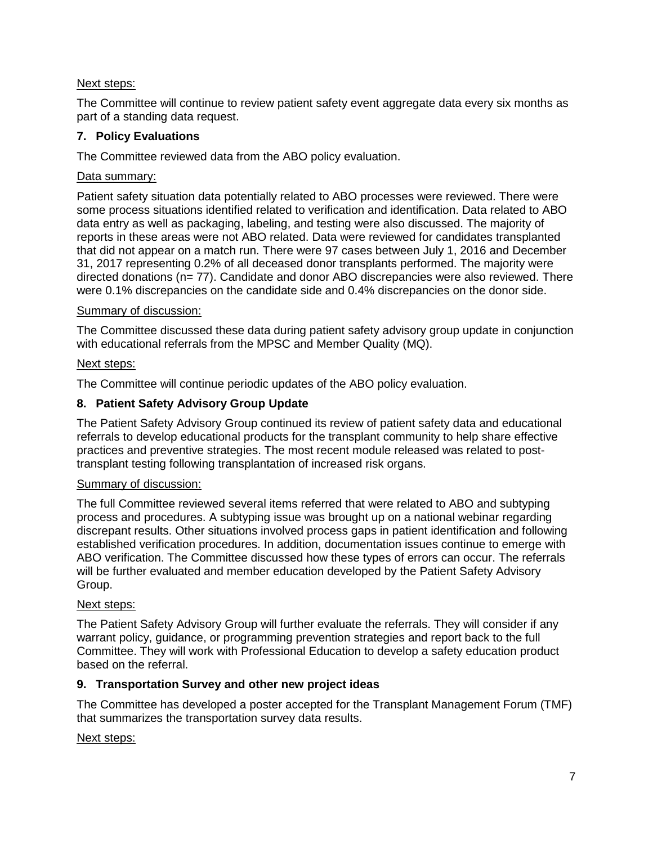# Next steps:

The Committee will continue to review patient safety event aggregate data every six months as part of a standing data request.

# **7. Policy Evaluations**

The Committee reviewed data from the ABO policy evaluation.

# Data summary:

Patient safety situation data potentially related to ABO processes were reviewed. There were some process situations identified related to verification and identification. Data related to ABO data entry as well as packaging, labeling, and testing were also discussed. The majority of reports in these areas were not ABO related. Data were reviewed for candidates transplanted that did not appear on a match run. There were 97 cases between July 1, 2016 and December 31, 2017 representing 0.2% of all deceased donor transplants performed. The majority were directed donations (n= 77). Candidate and donor ABO discrepancies were also reviewed. There were 0.1% discrepancies on the candidate side and 0.4% discrepancies on the donor side.

# Summary of discussion:

The Committee discussed these data during patient safety advisory group update in conjunction with educational referrals from the MPSC and Member Quality (MQ).

# Next steps:

The Committee will continue periodic updates of the ABO policy evaluation.

# **8. Patient Safety Advisory Group Update**

The Patient Safety Advisory Group continued its review of patient safety data and educational referrals to develop educational products for the transplant community to help share effective practices and preventive strategies. The most recent module released was related to posttransplant testing following transplantation of increased risk organs.

# Summary of discussion:

The full Committee reviewed several items referred that were related to ABO and subtyping process and procedures. A subtyping issue was brought up on a national webinar regarding discrepant results. Other situations involved process gaps in patient identification and following established verification procedures. In addition, documentation issues continue to emerge with ABO verification. The Committee discussed how these types of errors can occur. The referrals will be further evaluated and member education developed by the Patient Safety Advisory Group.

# Next steps:

The Patient Safety Advisory Group will further evaluate the referrals. They will consider if any warrant policy, guidance, or programming prevention strategies and report back to the full Committee. They will work with Professional Education to develop a safety education product based on the referral.

# **9. Transportation Survey and other new project ideas**

The Committee has developed a poster accepted for the Transplant Management Forum (TMF) that summarizes the transportation survey data results.

# Next steps: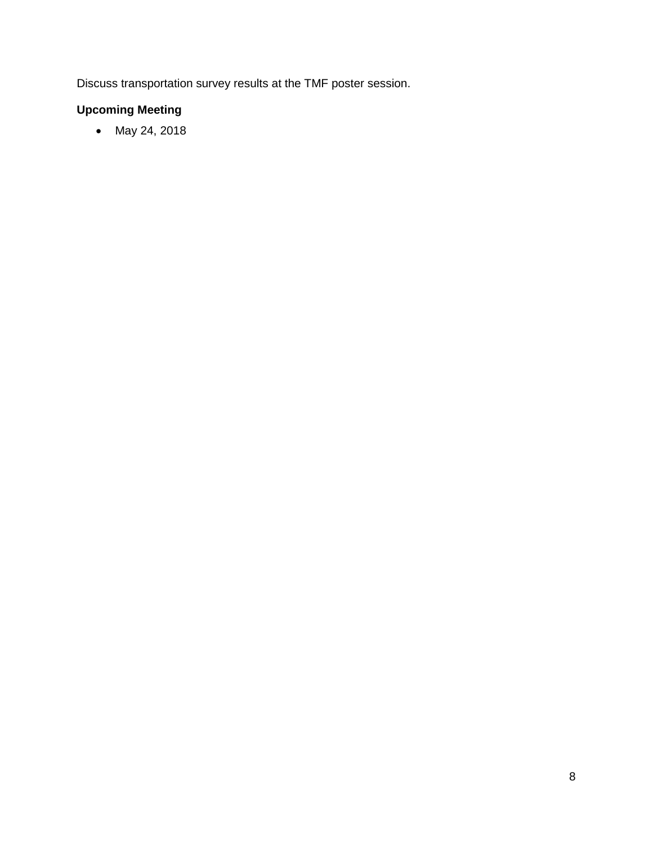Discuss transportation survey results at the TMF poster session.

# **Upcoming Meeting**

• May 24, 2018